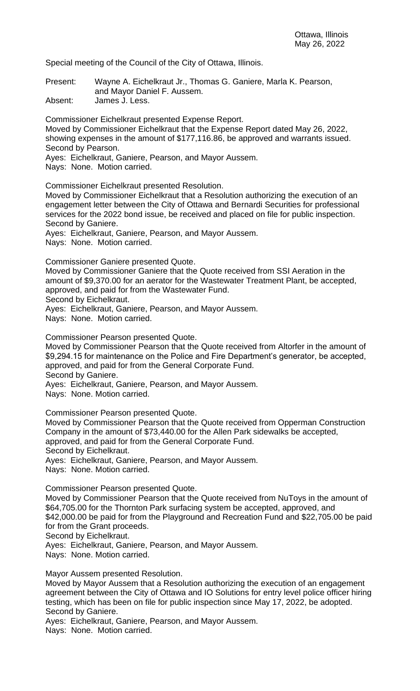Special meeting of the Council of the City of Ottawa, Illinois.

Present: Wayne A. Eichelkraut Jr., Thomas G. Ganiere, Marla K. Pearson, and Mayor Daniel F. Aussem.

Absent: James J. Less.

Commissioner Eichelkraut presented Expense Report.

Moved by Commissioner Eichelkraut that the Expense Report dated May 26, 2022, showing expenses in the amount of \$177,116.86, be approved and warrants issued. Second by Pearson.

Ayes: Eichelkraut, Ganiere, Pearson, and Mayor Aussem.

Nays: None. Motion carried.

Commissioner Eichelkraut presented Resolution.

Moved by Commissioner Eichelkraut that a Resolution authorizing the execution of an engagement letter between the City of Ottawa and Bernardi Securities for professional services for the 2022 bond issue, be received and placed on file for public inspection. Second by Ganiere.

Ayes: Eichelkraut, Ganiere, Pearson, and Mayor Aussem.

Nays: None. Motion carried.

Commissioner Ganiere presented Quote.

Moved by Commissioner Ganiere that the Quote received from SSI Aeration in the amount of \$9,370.00 for an aerator for the Wastewater Treatment Plant, be accepted, approved, and paid for from the Wastewater Fund.

Second by Eichelkraut.

Ayes: Eichelkraut, Ganiere, Pearson, and Mayor Aussem.

Nays: None. Motion carried.

Commissioner Pearson presented Quote.

Moved by Commissioner Pearson that the Quote received from Altorfer in the amount of \$9,294.15 for maintenance on the Police and Fire Department's generator, be accepted, approved, and paid for from the General Corporate Fund. Second by Ganiere.

Ayes: Eichelkraut, Ganiere, Pearson, and Mayor Aussem.

Nays: None. Motion carried.

Commissioner Pearson presented Quote.

Moved by Commissioner Pearson that the Quote received from Opperman Construction Company in the amount of \$73,440.00 for the Allen Park sidewalks be accepted, approved, and paid for from the General Corporate Fund.

Second by Eichelkraut.

Ayes: Eichelkraut, Ganiere, Pearson, and Mayor Aussem.

Nays: None. Motion carried.

Commissioner Pearson presented Quote.

Moved by Commissioner Pearson that the Quote received from NuToys in the amount of \$64,705.00 for the Thornton Park surfacing system be accepted, approved, and \$42,000.00 be paid for from the Playground and Recreation Fund and \$22,705.00 be paid for from the Grant proceeds.

Second by Eichelkraut.

Ayes: Eichelkraut, Ganiere, Pearson, and Mayor Aussem.

Nays: None. Motion carried.

Mayor Aussem presented Resolution.

Moved by Mayor Aussem that a Resolution authorizing the execution of an engagement agreement between the City of Ottawa and IO Solutions for entry level police officer hiring testing, which has been on file for public inspection since May 17, 2022, be adopted. Second by Ganiere.

Ayes: Eichelkraut, Ganiere, Pearson, and Mayor Aussem.

Nays: None. Motion carried.